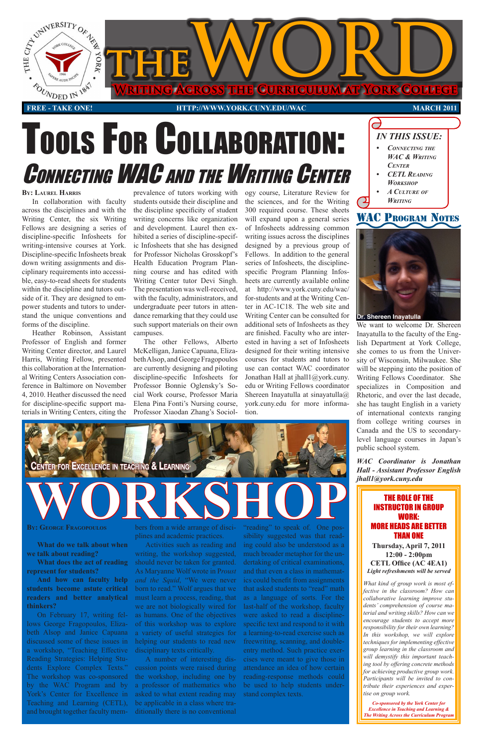



#### **12:00 - 2:00pm CETL Office (AC 4EA1)**  *Light refreshments will be served*

# CONNECTING WAC AND THE WRITING CENTER Tools For CollaboraTion:

*What kind of group work is most effective in the classroom? How can collaborative learning improve students' comprehension of course material and writing skills? How can we encourage students to accept more responsibility for their own learning? In this workshop, we will explore techniques for implementing effective group learning in the classroom and will demystify this important teaching tool by offering concrete methods for achieving productive group work. Participants will be invited to contribute their experiences and expertise on group work.*

*Co-sponsored by the York Center for Excellence in Teaching and Learning & The Writing Across the Curriculum Program*

#### **By: LaureL Harris**

In collaboration with faculty across the disciplines and with the Writing Center, the six Writing Fellows are designing a series of discipline-specific Infosheets for writing-intensive courses at York. Discipline-specific Infosheets break down writing assignments and disciplinary requirements into accessible, easy-to-read sheets for students within the discipline and tutors outside of it. They are designed to empower students and tutors to understand the unique conventions and forms of the discipline.

Heather Robinson, Assistant Professor of English and former Writing Center director, and Laurel Harris, Writing Fellow, presented this collaboration at the International Writing Centers Association conference in Baltimore on November 4, 2010. Heather discussed the need for discipline-specific support materials in Writing Centers, citing the

prevalence of tutors working with students outside their discipline and the discipline specificity of student writing concerns like organization and development. Laurel then exhibited a series of discipline-specific Infosheets that she has designed for Professor Nicholas Grosskopf's Health Education Program Planning course and has edited with Writing Center tutor Devi Singh. The presentation was well-received, with the faculty, administrators, and undergraduate peer tutors in attendance remarking that they could use such support materials on their own campuses.

The other Fellows, Alberto McKelligan, Janice Capuana, Elizabeth Alsop, and George Fragopoulos are currently designing and piloting discipline-specific Infosheets for Professor Bonnie Oglensky's Social Work course, Professor Maria Elena Pina Fonti's Nursing course, Professor Xiaodan Zhang's Sociol-



ogy course, Literature Review for the sciences, and for the Writing 300 required course. These sheets will expand upon a general series of Infosheets addressing common writing issues across the disciplines designed by a previous group of Fellows. In addition to the general series of Infosheets, the disciplinespecific Program Planning Infosheets are currently available online at [http://www.york.cuny.edu/wac/](http://www.york.cuny.edu/wac) for-students and at the Writing Center in AC-1C18. The web site and Writing Center can be consulted for additional sets of Infosheets as they are finished. Faculty who are interested in having a set of Infosheets designed for their writing intensive courses for students and tutors to use can contact WAC coordinator Jonathan Hall at [jhall1@york.cuny.](mailto:jhall1@york.cuny) edu or Writing Fellows coordinator Shereen Inayatulla at sinayatulla@ [york.cuny.edu](https://york.cuny.edu) for more information.

**What do we talk about when** 

**we talk about reading?** 

**What does the act of reading represent for students?** 

**And how can faculty help students become astute critical readers and better analytical thinkers?** 



On February 17, writing fellows George Fragopoulos, Elizabeth Alsop and Janice Capuana discussed some of these issues in a workshop, "Teaching Effective Reading Strategies: Helping Students Explore Complex Texts." The workshop was co-sponsored by the WAC Program and by York's Center for Excellence in Teaching and Learning (CETL), and brought together faculty memActivities such as reading and

writing, the workshop suggested, should never be taken for granted. As Maryanne Wolf wrote in P*roust and the Squid*, "We were never born to read." Wolf argues that we must learn a process, reading, that we are not biologically wired for as humans. One of the objectives of this workshop was to explore

a variety of useful strategies for helping our students to read new disciplinary texts critically.

A number of interesting discussion points were raised during the workshop, including one by a professor of mathematics who asked to what extent reading may be applicable in a class where traditionally there is no conventional

ing could also be understood as a

much broader metaphor for the undertaking of critical examinations, and that even a class in mathematics could benefit from assignments that asked students to "read" math as a language of sorts. For the last-half of the workshop, faculty were asked to read a disciplinespecific text and respond to it with a learning-to-read exercise such as freewriting, scanning, and doubleentry method. Such practice exercises were meant to give those in attendance an idea of how certain reading-response methods could be used to help students understand complex texts.

*IN THIS ISSUE:*



We want to welcome Dr. Shereen Inayatulla to the faculty of the English Department at York College, she comes to us from the University of Wisconsin, Milwaukee. She will be stepping into the position of Writing Fellows Coordinator. She specializes in Composition and Rhetoric, and over the last decade, she has taught English in a variety of international contexts ranging from college writing courses in Canada and the US to secondarylevel language courses in Japan's public school system.

*WAC Coordinator is Jonathan Hall - Assistant Professor English [jhall1@york.cuny.edu](mailto:jhall1@york.cuny.edu)*